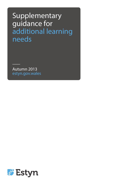# Supplementary guidance for additional learning needs

Autumn 2013 estyn.gov.wales

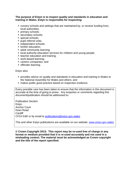#### **The purpose of Estyn is to inspect quality and standards in education and training in Wales. Estyn is responsible for inspecting:**

- $\lambda$  nursery schools and settings that are maintained by, or receive funding from, local authorities;
- $\overline{\phantom{a}}$  primary schools;
- ▲ secondary schools;
- $\overline{\phantom{a}}$  special schools;
- $\blacktriangle$  pupil referral units;
- $\overline{\phantom{a}}$  independent schools;
- $\blacktriangle$  further education:
- $\triangle$  adult community learning:
- $\lambda$  local authority education services for children and young people;
- $\overline{\phantom{a}}$  teacher education and training;
- work-based learning;
- $\overline{\phantom{a}}$  careers companies; and
- $\overline{\phantom{a}}$  offender learning.

#### Estyn also:

- $\lambda$  provides advice on quality and standards in education and training in Wales to the National Assembly for Wales and others; and
- A makes public good practice based on inspection evidence.

Every possible care has been taken to ensure that the information in this document is accurate at the time of going to press. Any enquiries or comments regarding this document/publication should be addressed to:

Publication Section Estyn Anchor Court Keen Road **Cardiff** CF24 5JW or by email to [publications@estyn.gov.wales](mailto:publications@estyn.gov.wales)

This and other Estyn publications are available on our website: [www.estyn.gov.wales](http://www.estyn.gov.wales/)

**© Crown Copyright 2013: This report may be re-used free of charge in any format or medium provided that it is re-used accurately and not used in a misleading context. The material must be acknowledged as Crown copyright and the title of the report specified.**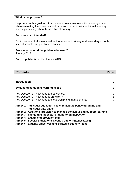#### **What is the purpose?**

To provide further guidance to inspectors, to use alongside the sector guidance, when evaluating the outcomes and provision for pupils with additional learning needs, particularly when this is a line of enquiry.

#### **For whom is it intended?**

For inspectors of all maintained and independent primary and secondary schools, special schools and pupil referral units.

#### **From when should the guidance be used?**  January 2011

**Date of publication:** September 2013

#### **Contents Page**

| <b>Introduction</b>                                                                          |   |  |  |  |  |  |  |  |  |  |  |  |
|----------------------------------------------------------------------------------------------|---|--|--|--|--|--|--|--|--|--|--|--|
| <b>Evaluating additional learning needs</b>                                                  |   |  |  |  |  |  |  |  |  |  |  |  |
| Key Question 1: How good are outcomes?                                                       | 3 |  |  |  |  |  |  |  |  |  |  |  |
| Key Question 2: How good is provision?                                                       | 5 |  |  |  |  |  |  |  |  |  |  |  |
| Key Question 3: How good are leadership and management?                                      |   |  |  |  |  |  |  |  |  |  |  |  |
| Annex 1: Individual education plans, individual behaviour plans and<br>individual play plans |   |  |  |  |  |  |  |  |  |  |  |  |

**Annex 2: Additional provision to manage behaviour and support learning**

- **Annex 3: Things that inspectors might do on inspection**
- **Annex 4: Example of provision map**

**Annex 5: Special Educational Needs Code of Practice (2004)**

**Annex 6: Equality objectives and Strategic Equality Plans**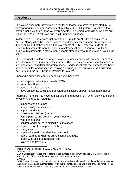### **Introduction**

The Welsh Assembly Government aims for all learners to have the best start in life with opportunities and encouragement to achieve their full potential in schools that provide inclusive and supportive environments. This vision for inclusion was set out in Circular 47/2006 'Inclusion and Pupil Support'<sup>1</sup> guidance.

In January 2010, there were just over 86,000<sup>2</sup> pupils on ALN/SEN  $^3$  registers in Wales. Nearly all of these pupils attended ordinary classes in mainstream schools. Just over 14,000 of these pupils had statements of SEN. Over two-thirds of the pupils with statements were taught in mainstream schools. About 40% of these pupils with statements in mainstream schools attended resourced provision within the school.

The term 'additional learning needs' is used to identify pupils whose learning needs are additional to the majority of their peers. The term 'special educational needs'<sup>4</sup> is a sub-category of additional learning needs, used to identify those learners who have severe, complex and/or specific learning difficulties as set out within the Education Act 1996 and the SEN Code of Practice for Wales<sup>5</sup>.

Pupils with additional learning needs include those who:

- have special educational needs (SEN);
- have disabilities;
- have medical needs: and
- have emotional, social and behavioural difficulties and/or mental health needs.

Pupils are more likely to have additional learning needs (ALN) when they also belong to vulnerable groups including:

- minority ethnic groups;
- refugees/asylum seekers;
- migrant workers:
- looked-after children (LAC);
- young parents and pregnant young women;
- young offenders;
- children and families in difficult circumstances;
- pupils at risk of homophobic bullying;
- young carers;
- pupils educated otherwise than at school;
- pupils learning English as an additional language;
- pupils with Basic Skills needs; and
- avpsies and travellers.

 $\overline{\phantom{a}}$ <sup>1</sup> Inclusion and Pupil Support, WAG Circular no: 47/2006

 $2^{2}$  SDR 91/2010

 $3$  ALN/SEN registers: these are registers of the number of pupils with additional learning needs at each school. SEN is a subcategory of additional learning needs.

<sup>4</sup> Annex 5

<sup>5</sup> SEN Code of Practice: practical advice to local authorities, maintained schools, early years settings and others on carrying out their statutory duties to identify, assess and make provision for children's special educational needs. This duty does not apply to independent schools.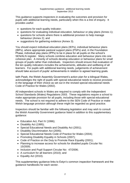This guidance supports inspectors in evaluating the outcomes and provision for pupils with additional learning needs, particularly when this is a line of enquiry. It provides useful:

- questions for each quality indicator;
- questions for evaluating individual education, behaviour or play plans (Annex 1);
- questions for schools where there is additional provision to help manage behaviour (Annex 2); and
- suggestions for gathering evidence (Annex 3).

You should expect individual education plans (IEPs), individual behaviour plans (IBPs), where appropriate pastoral support plans (PSPs) and, in the Foundation Phase, individual play plans (IPPs) to be in place for all pupils on the school's SEN/ALN register. Many schools combine education and behaviour plans into one cohesive plan. A minority of schools develop education or behaviour plans for small groups of pupils rather than individuals. Inspectors should ensure that evaluation of the ten quality indicators includes the achievements, attitudes and wellbeing of all learners. For pupils with additional learning needs, judgements of achievement should take account of pupils' achievements in relation to agreed learning goals.

Iaith Pawb, the Welsh Assembly Government's action plan for a bilingual Wales, acknowledges the right of pupils with special educational needs to receive provision in the language of their choice as set out in the revised special educational needs Code of Practice for Wales (2002).

All independent schools in Wales are required to comply with the Independent School Standards (Wales) Regulations 2003. These regulations require a school to make appropriate provision for all pupils, including those with special educational needs. The school is not required to adhere to the SEN Code of Practice or make Welsh language provision although these might be regarded as good practice.

Inspectors should be familiar with the following legislation and may wish to consult the Welsh Assembly Government guidance listed in addition to this supplementary guidance:

- Education Act, Part IV (1996);
- Disability Act (1995);
- Special Educational Needs and Disability Act (2001);
- Disability Discrimination Act (2005);
- Special Educational Needs Code of Practice for Wales (2004);
- Promoting Disability Equality in Schools (2007):
- Code of Practice on the Duty to Promote Race Equality (2001);
- Planning to increase access for schools for disabled pupils Circular No: 15/2005;
- Inclusion and Pupil Support Circular No: 47/2006;
- A curriculum for all learners (2010); and
- Equality Act (2010).

This supplementary guidance links to Estyn's common inspection framework and the guidance handbooks for each sector.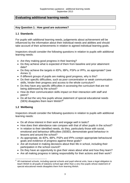# **Evaluating additional learning needs**

#### **Key Question 1: How good are outcomes?**

#### **1.1 Standards**

For pupils with additional learning needs, judgements about achievement will be influenced by the information about their individual needs and abilities and should take account of their achievements in relation to agreed individual learning goals.

Inspectors should consider the following questions in relation to pupils with additional learning needs:

- Are they making good progress in their learning?
- Do they achieve what is expected of them from baseline and prior attainment data?
- Do they achieve the targets in IEPs, IBPs, PSPs or IPPs, as appropriate? (see Annex 1)
- If different groups of pupils are making good progress, why is this?
- Do their specific difficulties, such as poor concentration or weak communication skills, hinder their progress and access to the whole curriculum?
- Do they have any specific difficulties in accessing the curriculum that are not being addressed by the school?
- How do their communication skills impact on their interaction with staff and peers?
- Do all but the very few pupils whose statement of special educational needs (SEN) disapplies them learn Welsh?<sup>6</sup>

# **1.2 Wellbeing**

- Do all show interest in their work and engage well in tasks?
- How does their attendance rate compare with that of other pupils in the school?
- In relation to their identified needs, do they, particularly those with social, emotional and behaviour difficulties (SEBD), demonstrate good behaviour in lessons and around the school?
- As appropriate, do IEPs, IBPs, PSPs and IPPs contain appropriate behavioural goals and evidence of progress against these goals?
- Are all involved in making decisions about their life in school, including their participation in the school council?
- Do they have an opportunity to give their views about what and how they learn?
- Are all making progress in taking responsibility for their actions and their work?

 $\overline{a}$ 6 All maintained schools, including special schools and pupil referral units, have a legal obligation to teach Welsh to all pupils of statutory school age other than a very few pupils whose statement of special educational needs disapplies them from learning Welsh.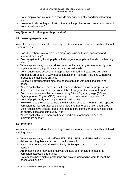- Do all display positive attitudes towards disability and other additional learning needs?
- How effectively do they work with others, solve problems and prepare for life and work outside school?

## **Key Question 2: How good is provision?**

#### **2.1 Learning experiences**

Inspectors should consider the following questions in relation to pupils with additional learning needs:

- Does the school have a provision map<sup>7</sup> for inclusion that is monitored and reviewed annually?
- Does target setting for all pupils include targets for pupils with additional learning needs?
- Where appropriate, how well does the school adapt programmes of study when pupils are working significantly below expected levels?
- Do all pupils have access to an appropriately broad and balanced curriculum?
- Are pupils grouped in a way that best helps them to learn, including withdrawal groups and small class groups?
- Do seating arrangements meet the needs of pupils with additional learning needs?
- Where applicable, are pupils consulted about when it is most appropriate for them to be withdrawn from the work of the class group for individual work?
- Do pupils who access the curriculum using British Sign Language (BSL) or Sign-supported English (SSE) have support to do so when they need it?
- Do deaf pupils study BSL as part of the curriculum?
- How well does the school combat the difficulties of gaps in learning and repeated curriculum for looked-after pupils who have had numerous placement moves?
- Do all pupils have access to and take part in extra-curricular opportunities, such as sports, clubs and community links?
- Where applicable, are there well-developed plans for transition back to mainstream school?

# **2.2 Teaching**

- Where appropriate, do all staff use IEPs, IBPs, PSPs and IPPs well to plan and deliver teaching that is matched to pupils needs?
- Is work differentiated to make it suitably challenging and demanding for all pupils?
- Are materials and methods of delivery suitably differentiated to make the curriculum accessible to pupils?
- Do teachers have high expectations and provide demanding work to meet the needs of all pupils?

 $\overline{\phantom{a}}$ 7 Annex 4 provides an example of a provision map.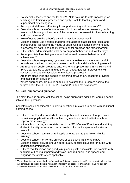- Do specialist teachers and the SENCo/ALNCo have up-to-date knowledge on teaching and training approaches and apply it well to teaching pupils and supporting their colleagues?
- Are support staff used effectively to support learning and behaviour?<sup>8</sup>
- Does the school have effective whole school procedures for assessing pupils' needs, which take good account of the correlation between difficulties in learning and poor behaviour?
- How effective are the school's early intervention procedures?
- Does the school use a range of appropriate additional assessment tools and procedures for identifying the needs of pupils with additional learning needs?
- Is assessment data used effectively to monitor progress and target learning?
- Is the school addressing the links between poor behaviour and low literacy?
- Are appropriate links being made and addressed between behaviour and achievement?
- Does the school keep clear, systematic, manageable, consistent and useful records and tracking of progress on each pupil with additional learning needs?
- Are reports on pupils' progress and, where appropriate, IEPs, IBPs, PSPs and IPPs clear and up to date, and do they set out targets for improvement with success criteria and timescales for monitoring progress?
- Are there close links and good joint planning between any resource provision and mainstream provision?
- Where appropriate, are pupils enabled to evaluate their progress against the targets set in their IEPs, IBPs, PSPs and IPPs and set new ones?

# **2.3 Care, support and guidance**

 $\overline{a}$ 

The main focus is on how well the school helps pupils with additional learning needs achieve their potential.

- Is there a well-understood whole school policy and action plan that promotes inclusion of pupils with additional learning needs and is linked to the school improvement strategy?
- Is the school making appropriate use of the SEN Code of Practice and statutory duties to identify, assess and make provision for pupils' special educational needs?
- Does the school maintain on roll pupils who transfer to pupil referral units (PRUs)?
- Does the school monitor the progress of pupils who transfer to PRUs?
- Does the school provide enough good-quality specialist support for pupils with additional learning needs?
- Is there regular liaison and good joint planning with specialists, for example with teachers of hearing impaired and vision impaired pupils, and speech and language therapists where applicable?

<sup>8</sup> Throughout this guidance the term 'support staff' 'is used to denote staff, other than teachers, that are employed to support pupils with additional learning needs. For example, learning support assistants, behaviour support assistants and communication assistants.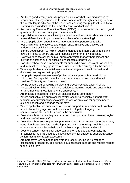- Are there good arrangements to prepare pupils for what is coming next in the programme of study/course and lessons, for example through teaching some of the vocabulary in advance of the lesson and ensuring that pupils with additional learning needs understand the aims of lessons and activities?
- Are statutory Personal Education Plans (PEPs<sup>9</sup>) for looked-after children of good quality, up to date and having a positive impact?
- Is provision for sex and relationships education and education about substance abuse differentiated to pupils' needs and level of understanding?
- Are all pupils given enough encouragement and opportunities to take responsibility for themselves and others, show initiative and develop an understanding of living in a community?
- Is there good support to help all pupils understand and agree group rules and how they relate to others and take responsibility for their own actions?
- How well does the school help all pupils appreciate that any harassment and bullying of another pupil or pupils is unacceptable behaviour?
- Does the school make arrangements for pupils who have specialist transport to and from school to engage in extra-curricular activities arranged by the school?
- Where applicable, are special examination arrangements well planned, and discussed and agreed with pupils?
- Are pupils helped to make use of professional support both from within the school and from specialist services such as community and mental health services (CAMHS) and Careers Wales?
- Do the school's safeguarding policies and procedures take account of the increased vulnerability of pupils with additional learning needs and ensure that arrangements for these learners are appropriate?
- Are medical protocols for individual disabled pupils up to date?
- Where applicable, do pupils access Welsh-speaking specialist support staff, teachers or educational psychologists, as well as provision for specific needs such as speech and language therapists?
- Where applicable, do pupils receive enough support from teachers of English as an additional language to enable pupils to develop their language and communication skills and fully access the curriculum?
- Does the school make adequate provision to support the different learning styles and needs of all learners?
- Does the school secure good support from others, for example support teachers, educational psychologists, medical, paramedical and nursing specialists, and other external agencies to help pupils achieve appropriate standards?
- Does the school have a clear understanding of, and use appropriately, the thresholds for referral used by the local authority for additional support at School Action Plus and statutory assessment?
- Are parents/carers helped to understand procedures, including statutory assessment procedures, and do they have access to records and reports relating to their children?

 $\overline{a}$ 9 Personal Education Plans (PEPs): Local authorities are required under the Children Act, 2004 to ensure that all children in their care have PEP within 20 school days of entering care or joining a new school.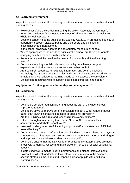# **2.4 Learning environment**

Inspectors should consider the following questions in relation to pupils with additional learning needs:

- How successful is the school in meeting the Welsh Assembly Government's vision and guidance<sup>10</sup> for meeting the needs of all learners within an inclusive, whole-school approach?
- Does the school meet the duties of the Equality Act 2010 in promoting equality of opportunity between disabled pupils and their peers and eliminating discrimination and harassment?
- Is the school physically adapted to appropriately meet pupils' needs?
- Where appropriate to the needs of pupils at the school, are there appropriate changing facilities for pupils with disabilities?
- Are resources matched well to the needs of pupils with additional learning needs?
- Do pupils attending specialist classes or small groups have a range of experiences, including collaborative work with other pupils?
- Are specialist resources, for example information and communications technology (ICT) equipment, radio aids and sound fields systems, used well to enable pupils with additional learning needs to fully access the curriculum?
- Do staff use resources well to support pupils' additional learning needs?

# **Key Question 3: How good are leadership and management?**

#### **3.1 Leadership**

- Do leaders consider additional learning needs as part of the wider school improvement agenda?
- Do leaders strive to improve general provision to meet a wider range of needs rather than always increasing specialist or additional provision?
- Are the SENCo/ALNCo role and responsibilities clearly defined?
- Is there enough non-teaching time for the SENCo/ALNCo to fulfil their administrative and whole-school roles?
- How well do designated staff, including support staff, understand and fulfil their roles effectively?
- Do managers collect information on incidents where there is physical intervention, so that they can gain an overview, recognise patterns and triggers and improve how well these incidents are managed?
- Do leaders ensure that the SEN Code of Practice and statutory duties are used effectively to identify, assess and make provision for pupils' special educational needs?
- Is data used well to monitor pupils' performance and plan for improvements?
- How well do all staff understand their roles in direct relation to the school's specific strategic aims, plans and responsibilities for pupils with additional learning needs?

 $\overline{\phantom{a}}$ <sup>10</sup> Inclusion and Pupil Support, WAG Circular no: 47/2006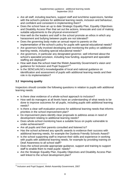- Are all staff, including teachers, support staff and lunchtime supervisors, familiar with the school's policies for additional learning needs, inclusion and behaviour, and confident and consistent in implementing them?
- Does the school have an up to date Strategic Equality Plan, Equality Objectives and Disability Access Plan that set out the actions, timescale and cost of making suitable adjustments to the physical environment?
- How well do the leaders and staff in the school promote an ethos in which any harassment and bullying between pupils are not tolerated?
- Does the governing body make an annual report to parents on the implementation of the school's policy for pupils with special educational needs?
- Are governors fully involved developing and monitoring the policy on additional learning needs, including special educational needs?
- Are governors, in particular any designated governor, well informed about the school's specialist provision, including how funding, equipment and specialist staffing are deployed?
- How well does the school meet the Welsh Assembly Government's vision and quidance for Inclusion and Pupil Support?<sup>11</sup>
- Is the SENCo/ALNCo knowledgeable of local and national guidance on identification and assessment of pupils with additional learning needs and their role in its implementation?

# **3.2 Improving quality**

- Is there clear evidence of a whole-school approach to inclusion?
- How well do managers at all levels have an understanding of what needs to be done to improve outcomes for all pupils, including pupils with additional learning needs?
- Is there a clear self-evaluation process for additional learning needs that informs priorities in the school improvement plan?
- Do improvement plans identify clear proposals to address areas in need of development relating to additional learning needs?
- Does whole-school monitoring have a suitable focus on pupils vulnerable to under-achievement?
- Are all pupils and their parents consulted and listened to?
- Has the school achieved any specific awards to evidence their success with additional learning needs, for example the Dyslexia Friendly Schools Award?
- Is the school supporting staff to improve their skills and experience in working with pupils with additional learning needs, for example by providing training on Deaf Awareness to all school staff?
- Does the school provide appropriate guidance, support and training to support staff to enable them to meet pupils' needs?
- Are the Strategic Equality Plan, Equality Objectives and Disability Access Plan well linked to the school development plan?

 $\overline{\phantom{a}}$ <sup>11</sup> Inclusion and Pupil Support, Welsh Assembly Government, 2007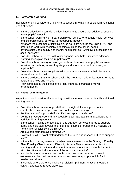# **3.3 Partnership working**

Inspectors should consider the following questions in relation to pupils with additional learning needs:

- Is there effective liaison with the local authority to ensure that additional support meets pupils' needs?
- Is the school working well in partnership with others, for example health services and children's social services, to meet pupils' needs?
- What are the outcomes of initiatives such as Team Around the Child (TAC) and other close work with specialist agencies such as the police, health, psychological, community and mental health service (CAMHS), counselling and social services?
- Does the school liaise well with other agencies and help pupils with additional learning needs plan their future pathways?
- Does the school have good arrangements in place to ensure pupils' seamless transition into school, across key stages and into post-school provision, as applicable?
- Does the school have strong links with parents and carers that help learning to be continued at home?
- Is there evidence that the school tracks the progress made of learners referred to outside agencies and PRUs?
- How committed is the school to the local authority's 'managed moves' arrangements?

#### **3.4 Resource management**

- Does the school have enough staff with the right skills to support pupils effectively to ensure progression and continuity in learning?
- Are the needs of support staff identified and appropriately met?
- Do the SENCo/ALNCo and any specialist staff have additional qualifications in additional learning needs?
- Is the school making the best use of any outreach services offered to support pupils and help staff develop their skills, for example through the Unlocking the Potential of Special Schools initiative?
- Are support staff deployed effectively?
- How well do all relevant staff understand the roles and responsibilities of support staff?
- Is the school making reasonable adjustments in relation to the Strategic Equality Plan, Equality Objectives and Disability Access Plan, to remove barriers to learning and participation and ensure that accommodation is suitable for pupils with disabilities and all members of the school community?
- In schools where there are deaf pupils, are classrooms adapted to avoid extraneous noise, reduce reverberation and ensure appropriate light for lip reading and signing?
- In schools where there are pupils with vision impairment, is accommodation suitably adapted to reduce glare etc?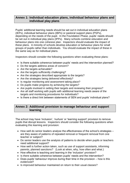# **Annex 1: Individual education plans, individual behaviour plans and individual play plans**

Pupils' additional learning needs should be set out in individual education plans (IEPs), individual behaviour plans (IBPs) or pastoral support plans (PSPs), depending on the needs of the pupil. In the Foundation Phase, pupils' needs should be set out in individual play plans (IPPs). Many schools combine education and behaviour plans into one cohesive plan. Inspectors should evaluate the impact of these plans. A minority of schools develop education or behaviour plans for small groups of pupils rather than individuals. You should evaluate the impact of these in the same way as for individual plans.

Inspectors should consider the following questions when evaluating these plans:

- Is there suitable coherence between pupils' needs and the intervention planned?
- Do the targets address areas of concern?
- Are the targets achievable?
- Are the targets sufficiently challenging?
- Are the strategies described appropriate to the targets?
- Are the strategies being delivered effectively?
- Is regular monitoring and assessment taking place?
- Do pupils make progress by achieving the targets?
- Are pupils involved in setting their targets and reviewing their progress?
- Are all staff working with pupils with additional learning needs aware of the targets and monitoring procedures for individuals?
- Is there a direct link between statements of SEN and pupils' individual plans?

# **Annex 2: Additional provision to manage behaviour and support learning**

The school may have 'inclusion', 'nurture' or 'learning support' provision to remove pupils that disrupt lessons. Inspectors should consider the following questions when evaluating this learning and provision:

- How well do senior leaders analyse the effectiveness of the school's strategies are they aware of patterns of repeated removal or frequent removal from one teacher or subject?
- Do senior leaders use the analysis of patterns to decide when pupils or teachers need additional support?
- How well is further action taken, such as use of support assistants, informing parents, planned sanctions? (Look at when, why, how often and what.)
- How effective is teaching and learning in the 'inclusion' provision?
- Is there suitable coherence between pupils' needs and the intervention?
- $\bullet$  Does pupils' behaviour improve during their time in the provision  $-$  how is this evidenced?
- Is improved behaviour maintained on return to their usual classes?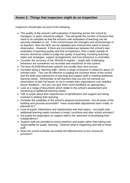# **Annex 3: Things that inspectors might do on inspection**

Inspectors should take account of the following:

- The quality of the school's self-evaluation of teaching across the school by managers or peers should be judged. This will guide the number of lessons that need to be sampled so that the school's own evaluation of teaching can be securely validated or not. If the school knows the strengths and shortcomings of its teachers, then the SER can be validated and minimal time spent in lesson observation. However, if there are inconsistencies between the school's own evaluation of teaching quality and that of inspectors, then a wider sample of lessons should be visited to judge the quality of teaching, including teaching styles and strategies, support arrangements and how behaviour is controlled.
- Consider the accuracy of the SEN/ALN register pupils with challenging behaviour are sometimes not recorded and monitored on this system.
- The best ALN/SEN/inclusion policies are usually clear and concise.
- Consider doing a 'learning walk', where a range of lessons is visited for about 10 minutes each. This can be effective in judging the inclusive ethos of the school and the skills and experience of teaching and support staff in meeting additional learning needs. (Remember to tell teachers that you are not carrying out observation of their full lesson so as to contain their expectations over detailed lesson feedback – but you can give them some feedback as appropriate.)
- Look at a range of documents which relate to the school's assessment and monitoring of additional learning needs.
- Talk to pupils about their experiences of identification and support and being involved in plotting their learning.
- Consider the suitability of the school's physical environment. Are all areas of the building and grounds accessible? Have reasonable adjustments been made, or planned for?
- Look at pupils' interactions and relationships with their peers are pupils with additional learning needs involved in break, lunchtime and after school activities?
- Are pupils too dependent on support staff to the detriment of developing their independence?
- Support staff are provided to assist teachers and pupils rather than taking sole responsibility for pupils' learning. Observe what is happening and talk to these staff.
- Does the school evaluate accurately the effectiveness of any resourced provision?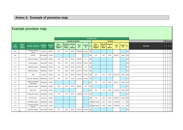# **Annex 4: Example of provision map**

| Example provision map |                                       |                                 |                            |                         |                                      |                             |                                |                     |                        |               |                                      |                                           |                                        |                     |                     |                            |                      |                             |  |  |
|-----------------------|---------------------------------------|---------------------------------|----------------------------|-------------------------|--------------------------------------|-----------------------------|--------------------------------|---------------------|------------------------|---------------|--------------------------------------|-------------------------------------------|----------------------------------------|---------------------|---------------------|----------------------------|----------------------|-----------------------------|--|--|
|                       |                                       |                                 |                            |                         |                                      |                             |                                |                     | <b>Provision Costs</b> |               |                                      |                                           |                                        |                     |                     |                            |                      |                             |  |  |
|                       |                                       |                                 |                            |                         | <b>Teaching Assistants</b>           |                             |                                |                     |                        |               | <b>Teachers</b>                      |                                           |                                        |                     |                     |                            | <b>CRIS Analysis</b> |                             |  |  |
| Year<br>Group         | Class $/$<br>Pupil /<br><b>Person</b> | <b>Provision / Resource</b>     | <b>Individual</b><br>Group | <b>Academic</b><br>Year | Type /<br>Grade of<br><b>Support</b> | Total No.<br>of Hrs<br>Week | <b>Total No</b><br>of<br>Weeks | <b>Total</b><br>(f) | <b>Funded</b><br>By    | $\frac{9}{6}$ | Type /<br>Grade of<br><b>Support</b> | <b>Total No.</b><br>of Hrs<br><b>Week</b> | <b>Total No.</b><br>of<br><b>Weeks</b> | <b>Total</b><br>(E) | <b>Funded</b><br>By | $\mathcal{A}_{\mathbf{0}}$ | <b>Outcomes</b>      | $1 \quad 2 \quad 3 \quad 4$ |  |  |
| Rec                   |                                       | Confidence Building<br>Group    | Group EI                   | 2010/11                 | TA <sub>2</sub>                      | 5.00                        | 39.00                          | £2,268.86           | School                 | 100           |                                      |                                           |                                        |                     |                     | 100                        |                      |                             |  |  |
| Rec                   |                                       | PATHS                           | Class Suppor               | 2010/11                 |                                      |                             |                                |                     |                        | 100           | M3                                   | 1.00                                      | 39.00                                  | £963.02             | School              | 100                        |                      |                             |  |  |
| Yr <sub>1</sub>       |                                       | Behaviour Support               | Group SEN                  | 2010/11                 | TA <sub>2</sub>                      | 2.00                        | 39.00                          | £907.55             | LA                     | 100           |                                      |                                           |                                        |                     |                     | 100                        |                      |                             |  |  |
| Yr <sub>1</sub>       |                                       | Literacy Support                | Group SEN                  | 2010/11                 | TA <sub>2</sub>                      | 7.00                        | 39.00                          | £3,176.41           | School                 | 100           |                                      |                                           |                                        |                     |                     | 100                        |                      |                             |  |  |
| Yr <sub>2</sub>       |                                       | <b>Additional Support</b>       | Individually               | 2010/11                 | TA <sub>2</sub>                      | 10.00                       | 39.00                          | £4,537.73           | LA                     | 100           |                                      |                                           |                                        |                     |                     | 100                        |                      |                             |  |  |
| Yr <sub>2</sub>       |                                       | <b>Additional Support</b>       | Individually               | 2010/11                 | TA <sub>2</sub>                      | 10.00                       | 39.00                          | £4,537.73           | School                 | 100           |                                      |                                           |                                        |                     |                     | 100                        |                      |                             |  |  |
| Yr <sub>3</sub>       |                                       | SAP                             | Group EI                   | 2010/11                 | TA <sub>2</sub>                      | 2.00                        | 39.00                          | £907.55             | School                 | 100           | M6                                   | 2.00                                      | 39.00                                  | £2,414.21           | School              | 100                        |                      |                             |  |  |
| Yr 4                  |                                       | Catch Up / Dyfal Donc           | Individually               | 2010/11                 | TA <sub>2</sub>                      | 6.00                        | 39.00                          | £2,722.64           | School                 | 100           |                                      |                                           |                                        |                     |                     | 100                        |                      |                             |  |  |
| Yr 4                  |                                       | Speech & Language<br>Programmes | Individually               | 2010/11                 |                                      |                             |                                |                     |                        | 100           | M2                                   | 1.00                                      | 39.00                                  | £891.17             | School              | 100                        |                      |                             |  |  |
| Yr <sub>5</sub>       |                                       | Behaviour Support               | Individually               | 2010/11                 | TA <sub>2</sub>                      | 1.50                        | 39.00                          | £680.66             | LA                     | 100           |                                      |                                           |                                        |                     |                     | 100                        |                      |                             |  |  |
| Yr <sub>5</sub>       |                                       | Math Group                      | Group SEN                  | 2010/11                 |                                      |                             |                                |                     |                        | 100           | M5                                   | 1.00                                      | 39.00                                  | £1,118.61           | School              | 100                        |                      |                             |  |  |
| Yr 6                  |                                       | Medical Intervention            | Individually               | 2010/11                 | TA3                                  | 3.00                        | 39.00                          | £1,684.80           | School                 | 100           |                                      |                                           |                                        |                     |                     | 100                        |                      |                             |  |  |
| Yr <sub>6</sub>       |                                       | <b>MAT Art Club</b>             | Group EI                   | 2010/11                 |                                      |                             |                                |                     |                        | 100           | M6                                   | 1.00                                      | 30.00                                  | £928.54             | School              | 100                        |                      |                             |  |  |
| Yr <sub>1</sub>       |                                       | HI/VI/MSI Support               | Individually               | 2010/11                 |                                      |                             |                                |                     |                        |               | 100 cialist Teacher                  | 2.00                                      | 30.00                                  | £2,940.00           | LA                  | 100                        |                      |                             |  |  |
| Yr <sub>2</sub>       |                                       | Specialist Teaching<br>Support  | Group SEN                  | 2010/11                 |                                      |                             |                                |                     |                        |               | 100 cialist Teacher                  | 4.00                                      | 39.00                                  | £7,644.00           | LA                  | 100                        |                      |                             |  |  |
| Yr <sub>3</sub>       |                                       | Behaviour Support               | Group SEN                  | 2010/11                 | TA <sub>2</sub>                      | 3.00                        | 39.00                          | £1,361.32           | School                 | 100           |                                      |                                           |                                        |                     |                     | 100                        |                      |                             |  |  |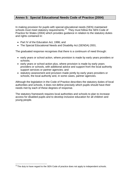# **Annex 5: Special Educational Needs Code of Practice (2004)**

In making provision for pupils with special educational needs (SEN) maintained schools must meet statutory requirements.<sup>12</sup> They must follow the SEN Code of Practice for Wales (2004) which provides guidance in relation to the statutory duties and rights contained in:

- Part IV of the Education Act, 1996; and
- The Special Educational Needs and Disability Act (SENDA) 2001.

The graduated response recognises that there is a continuum of need through:

- early years or school action, where provision is made by early years providers or schools;
- early years or school action plus, where provision is made by early years providers or schools, with additional advice and support from the local authority support services or partner agencies; and
- statutory assessment and provision made jointly by early years providers or schools, the local authority and, in some cases, partner agencies.

Although the legislation in the Code of Practice describes the statutory duties of local authorities and schools, it does not define precisely which pupils should have their needs met by each of these degrees of response.

The statutory framework requires local authorities and schools to plan to increase access for disabled pupils and to develop inclusive education for all children and young people.

 $\overline{\phantom{a}}$ 

 $12$ The duty to have regard to the SEN Code of practice does not apply to independent schools.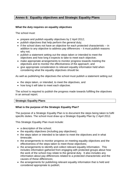# **Annex 6: Equality objectives and Strategic Equality Plans**

#### **What the duty requires on equality objectives**

The school must:

- prepare and publish equality objectives by 2 April 2012;
- publish objectives that help perform the general duty;
- $\bullet$  if the school does not have an objective for each protected characteristic in addition to any objective to address pay differences – it must publish reasons why not;
- publish a statement setting out the steps taken or intended to meet the objectives and how long it expects to take to meet each objective;
- make appropriate arrangements to monitor progress towards meeting the objectives and to monitor the effectiveness of the approach; and
- give appropriate consideration to relevant equality information held when considering what the equality objectives should be.

As well as publishing the objectives the school must publish a statement setting out:

- the steps taken, or intended, to meet the objectives, and
- how long it will take to meet each objective.

The school is required to publish the progress made towards fulfilling the objectives in an annual report.

#### **Strategic Equality Plans**

#### **What is the purpose of the Strategic Equality Plan?**

The purpose of a Strategic Equality Plan is to document the steps being taken to fulfil specific duties. The school must draw up a Strategic Equality Plan by 2 April 2012.

This Strategic Equality Plan must include:

- a description of the school;
- $\bullet$  the equality objectives (including pay objectives);
- the steps taken or intended to be taken to meet the objectives and in what timescale;
- the arrangements to monitor progress on meeting equality objectives and the effectiveness of the steps taken to meet those objectives;
- the arrangements to identify and collect relevant equality information. This includes information gathered from engaging with protected groups about how the work of the school may relate to the general duty. It also includes any information about pay differences related to a protected characteristic and the causes of these differences;
- the arrangements for publishing relevant equality information that is held and considered appropriate to publish;